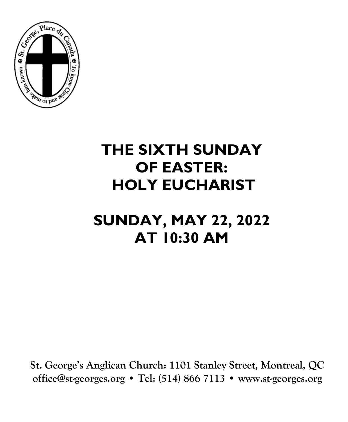

# **THE SIXTH SUNDAY OF EASTER: HOLY EUCHARIST**

# **SUNDAY, MAY 22, 2022 AT 10:30 AM**

**St. George's Anglican Church: 1101 Stanley Street, Montreal, QC office@st-georges.org • Tel: (514) 866 7113 • www.st-georges.org**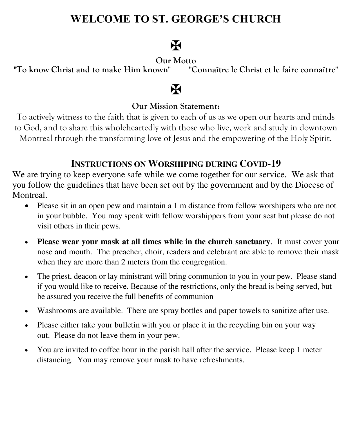### **WELCOME TO ST. GEORGE'S CHURCH**

## K

"To know Christ and to make Him known"

Our Motto<br><sup>2</sup> wn" "Connaître le Christ et le faire connaître"

## X

#### **Our Mission Statement:**

To actively witness to the faith that is given to each of us as we open our hearts and minds to God, and to share this wholeheartedly with those who live, work and study in downtown Montreal through the transforming love of Jesus and the empowering of the Holy Spirit.

#### **INSTRUCTIONS ON WORSHIPING DURING COVID-19**

We are trying to keep everyone safe while we come together for our service. We ask that you follow the guidelines that have been set out by the government and by the Diocese of Montreal.

- Please sit in an open pew and maintain a 1 m distance from fellow worshipers who are not in your bubble. You may speak with fellow worshippers from your seat but please do not visit others in their pews.
- **Please wear your mask at all times while in the church sanctuary**. It must cover your nose and mouth. The preacher, choir, readers and celebrant are able to remove their mask when they are more than 2 meters from the congregation.
- The priest, deacon or lay ministrant will bring communion to you in your pew. Please stand if you would like to receive. Because of the restrictions, only the bread is being served, but be assured you receive the full benefits of communion
- Washrooms are available. There are spray bottles and paper towels to sanitize after use.
- Please either take your bulletin with you or place it in the recycling bin on your way out. Please do not leave them in your pew.
- You are invited to coffee hour in the parish hall after the service. Please keep 1 meter distancing. You may remove your mask to have refreshments.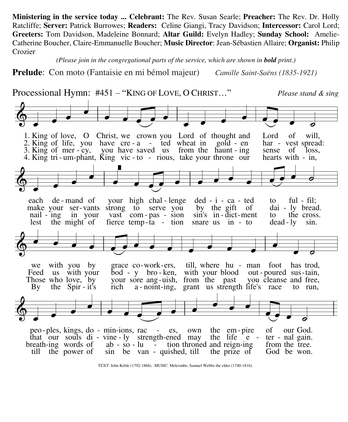**Ministering in the service today ... Celebrant:** The Rev. Susan Searle; **Preacher:** The Rev. Dr. Holly Ratcliffe; **Server:** Patrick Burrowes; **Readers:** Celine Giangi, Tracy Davidson; **Intercessor:** Carol Lord; **Greeters:** Tom Davidson, Madeleine Bonnard; **Altar Guild:** Evelyn Hadley; **Sunday School:** Amelie-Catherine Boucher, Claire-Emmanuelle Boucher; **Music Director**: Jean-Sébastien Allaire; **Organist:** Philip Crozier

*(Please join in the congregational parts of the service, which are shown in bold print.)* 

**Prelude**: Con moto (Fantaisie en mi bémol majeur) *Camille Saint-Saëns (1835-1921)* 

4. King tri-um-phant, King vic to - rious, take your throne our hearts with - in, 3. King of mer  $-cy$ , you have saved us from the haunt ing sense of loss, 2. King of life, you have  $cre - a - \text{ted}$  wheat in gold - en har - vest spread: 1. King of love, O Christ, we crown you Lord of thought and Lord of will,  $\oint$ .  $\frac{1}{\bullet}$  $\frac{1}{\bullet}$  $\overline{\phantom{0}}$  $\bullet$   $\bullet$   $\bullet$   $\bullet$  $\overline{\phantom{a}}$  $\overline{\cdots}$ lest the might of fierce temp-ta - tion snare us in - to - dead - ly sin. nail ing in your vast com pas  $\overline{\phantom{a}}$  sion sin's in dict-ment to the cross. make your ser-vants strong to serve you by the gift of dai - ly bread. each de-mand of your high chal-lenge ded - i - ca - ted to ful - fil;  $\oint$ .  $\overline{\phantom{a}}$  $\overline{\phantom{a}}$  $\bullet$  $\overrightarrow{a}$  $\overline{\phantom{a}}$ By the Spir-it's rich a-noint-ing, grant us strength life's race to run, Those who love, by your sore ang-uish, from the past you cleanse and free, Feed us with your bod - y bro - ken, with your blood out - poured sus tain, we with you by grace co-work-ers, till, where hu - man foot has trod,  $\breve \Phi$  $\overrightarrow{a}$  ,  $\overrightarrow{b}$  ,  $\overrightarrow{a}$  ,  $\overrightarrow{a}$  $\overrightarrow{ }$  $\overline{\phantom{0}}$  $\begin{array}{|c|c|c|}\hline \rule{0.2cm}{0.2cm} \rule{0.2cm}{0.2cm} \end{array}$ till the power of sin be van - quished, till the prize of God be won. that our souls di - vine - ly strength-ened may the life  $e$  - ter - nal gain.<br>breath-ing-words of ab - so - lu - tion- throned and reign-ing- from the tree. that our souls di - vine-ly strength-ened may the life  $e$  peo-ples, kings, do - min-ions, rac - es, own the em-pire of our God.  $\oint$ .  $\overline{\phantom{a}}$  $\overline{\phantom{a}}$  $\overline{\bullet}$  $\bullet$   $\bullet$   $\bullet$   $\bullet$  $\overline{\phantom{a}}$  $\overrightarrow{\cdot}$  $\overline{\cdots}$ Processional Hymn: #451 – "KING OF LOVE, O CHRIST…" *Please stand & sing*

TEXT: John Keble (1792-1866). MUSIC: Melcombe; Samuel Webbe the elder (1740-1816).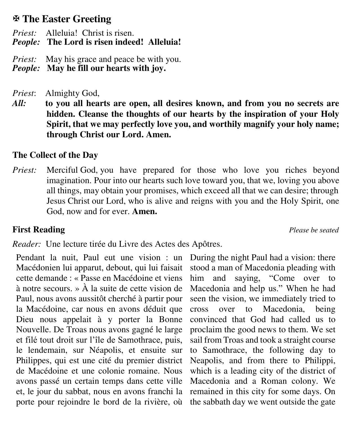#### **The Easter Greeting**

*Priest:* Alleluia! Christ is risen.<br>*People:* The Lord is risen indee

*People:* **The Lord is risen indeed! Alleluia!** 

*Priest:* May his grace and peace be with you.<br>*People:* May he fill our hearts with jov.

May he fill our hearts with joy.

*Priest*: Almighty God,

*All:* **to you all hearts are open, all desires known, and from you no secrets are hidden. Cleanse the thoughts of our hearts by the inspiration of your Holy Spirit, that we may perfectly love you, and worthily magnify your holy name; through Christ our Lord. Amen.**

#### **The Collect of the Day**

*Priest:* Merciful God, you have prepared for those who love you riches beyond imagination. Pour into our hearts such love toward you, that we, loving you above all things, may obtain your promises, which exceed all that we can desire; through Jesus Christ our Lord, who is alive and reigns with you and the Holy Spirit, one God, now and for ever. **Amen.** 

#### **First Reading** *Please be seated*

*Reader:* Une lecture tirée du Livre des Actes des Apôtres.

Pendant la nuit, Paul eut une vision : un Macédonien lui apparut, debout, qui lui faisait cette demande : « Passe en Macédoine et viens à notre secours. » À la suite de cette vision de Paul, nous avons aussitôt cherché à partir pour la Macédoine, car nous en avons déduit que Dieu nous appelait à y porter la Bonne Nouvelle. De Troas nous avons gagné le large et filé tout droit sur l'île de Samothrace, puis, le lendemain, sur Néapolis, et ensuite sur Philippes, qui est une cité du premier district de Macédoine et une colonie romaine. Nous avons passé un certain temps dans cette ville et, le jour du sabbat, nous en avons franchi la porte pour rejoindre le bord de la rivière, où

During the night Paul had a vision: there stood a man of Macedonia pleading with him and saying, "Come over to Macedonia and help us." When he had seen the vision, we immediately tried to cross over to Macedonia, being convinced that God had called us to proclaim the good news to them. We set sail from Troas and took a straight course to Samothrace, the following day to Neapolis, and from there to Philippi, which is a leading city of the district of Macedonia and a Roman colony. We remained in this city for some days. On the sabbath day we went outside the gate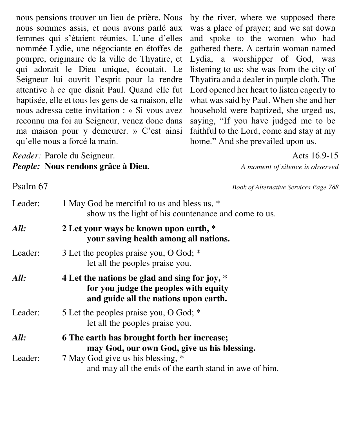nous pensions trouver un lieu de prière. Nous nous sommes assis, et nous avons parlé aux femmes qui s'étaient réunies. L'une d'elles nommée Lydie, une négociante en étoffes de pourpre, originaire de la ville de Thyatire, et qui adorait le Dieu unique, écoutait. Le Seigneur lui ouvrit l'esprit pour la rendre attentive à ce que disait Paul. Quand elle fut baptisée, elle et tous les gens de sa maison, elle nous adressa cette invitation : « Si vous avez reconnu ma foi au Seigneur, venez donc dans ma maison pour y demeurer. » C'est ainsi qu'elle nous a forcé la main.

*Reader:* Parole du Seigneur. Acts 16.9-15 *People:* **Nous rendons grâce à Dieu.** *A moment of silence is observed*

by the river, where we supposed there was a place of prayer; and we sat down and spoke to the women who had gathered there. A certain woman named Lydia, a worshipper of God, was listening to us; she was from the city of Thyatira and a dealer in purple cloth. The Lord opened her heart to listen eagerly to what was said by Paul. When she and her household were baptized, she urged us, saying, "If you have judged me to be faithful to the Lord, come and stay at my home." And she prevailed upon us.

Psalm 67 *Book of Alternative Services Page 788*

| Leader: | 1 May God be merciful to us and bless us, *<br>show us the light of his countenance and come to us.                             |
|---------|---------------------------------------------------------------------------------------------------------------------------------|
| All:    | 2 Let your ways be known upon earth, *<br>your saving health among all nations.                                                 |
| Leader: | 3 Let the peoples praise you, O God; *<br>let all the peoples praise you.                                                       |
| All:    | 4 Let the nations be glad and sing for joy, *<br>for you judge the peoples with equity<br>and guide all the nations upon earth. |
| Leader: | 5 Let the peoples praise you, O God; *<br>let all the peoples praise you.                                                       |
| All:    | 6 The earth has brought forth her increase;<br>may God, our own God, give us his blessing.                                      |
| Leader: | 7 May God give us his blessing, *<br>and may all the ends of the earth stand in awe of him.                                     |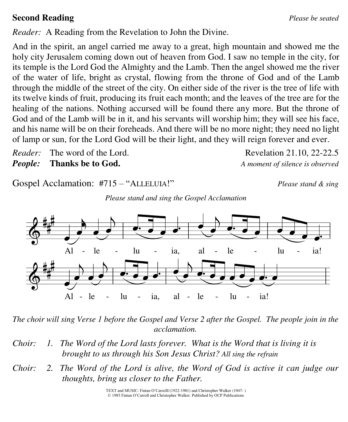#### **Second Reading** *Please be seated*

*Reader:* A Reading from the Revelation to John the Divine.

And in the spirit, an angel carried me away to a great, high mountain and showed me the holy city Jerusalem coming down out of heaven from God. I saw no temple in the city, for its temple is the Lord God the Almighty and the Lamb. Then the angel showed me the river of the water of life, bright as crystal, flowing from the throne of God and of the Lamb through the middle of the street of the city. On either side of the river is the tree of life with its twelve kinds of fruit, producing its fruit each month; and the leaves of the tree are for the healing of the nations. Nothing accursed will be found there any more. But the throne of God and of the Lamb will be in it, and his servants will worship him; they will see his face, and his name will be on their foreheads. And there will be no more night; they need no light of lamp or sun, for the Lord God will be their light, and they will reign forever and ever.

*Reader:* The word of the Lord. Revelation 21.10, 22-22.5 *People:* **Thanks be to God.** *A moment of silence is observed*

Gospel Acclamation: #715 – "ALLELUIA!" *Please stand & sing*



*Please stand and sing the Gospel Acclamation* 

*The choir will sing Verse 1 before the Gospel and Verse 2 after the Gospel. The people join in the acclamation.* 

- *Choir:* 1. The Word of the Lord lasts forever. What is the Word that is living it is *brought to us through his Son Jesus Christ? All sing the refrain*
- *Choir: 2. The Word of the Lord is alive, the Word of God is active it can judge our thoughts, bring us closer to the Father.*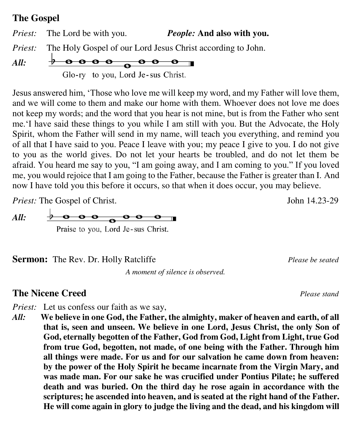#### **The Gospel**

*Priest:* The Lord be with you. *People:* **And also with you.** *Priest:* The Holy Gospel of our Lord Jesus Christ according to John. *All:* Glo-ry to you, Lord Je-sus Christ.

Jesus answered him, 'Those who love me will keep my word, and my Father will love them, and we will come to them and make our home with them. Whoever does not love me does not keep my words; and the word that you hear is not mine, but is from the Father who sent me.'I have said these things to you while I am still with you. But the Advocate, the Holy Spirit, whom the Father will send in my name, will teach you everything, and remind you of all that I have said to you. Peace I leave with you; my peace I give to you. I do not give to you as the world gives. Do not let your hearts be troubled, and do not let them be afraid. You heard me say to you, "I am going away, and I am coming to you." If you loved me, you would rejoice that I am going to the Father, because the Father is greater than I. And now I have told you this before it occurs, so that when it does occur, you may believe.

*Priest:* The Gospel of Christ. John 14.23-29

 $\rightarrow$   $\circ$   $\circ$   $\circ$   $\circ$   $\circ$   $\circ$   $\bullet$   $\bullet$ *All:*  Praise to you, Lord Je-sus Christ.

**Sermon:** The Rev. Dr. Holly Ratcliffe *Please be seated* 

*A moment of silence is observed.* 

#### **The Nicene Creed** *Please stand*

*Priest:* Let us confess our faith as we say,

*All:* **We believe in one God, the Father, the almighty, maker of heaven and earth, of all that is, seen and unseen. We believe in one Lord, Jesus Christ, the only Son of God, eternally begotten of the Father, God from God, Light from Light, true God from true God, begotten, not made, of one being with the Father. Through him all things were made. For us and for our salvation he came down from heaven: by the power of the Holy Spirit he became incarnate from the Virgin Mary, and was made man. For our sake he was crucified under Pontius Pilate; he suffered death and was buried. On the third day he rose again in accordance with the scriptures; he ascended into heaven, and is seated at the right hand of the Father. He will come again in glory to judge the living and the dead, and his kingdom will**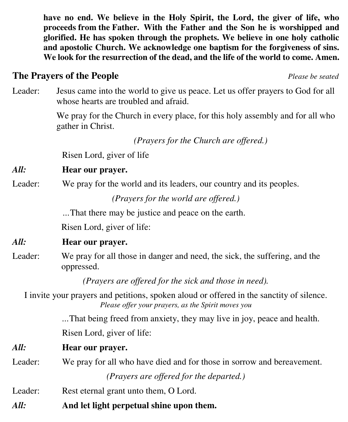**have no end. We believe in the Holy Spirit, the Lord, the giver of life, who proceeds from the Father. With the Father and the Son he is worshipped and glorified. He has spoken through the prophets. We believe in one holy catholic and apostolic Church. We acknowledge one baptism for the forgiveness of sins. We look for the resurrection of the dead, and the life of the world to come. Amen.** 

#### **The Prayers of the People** *Please be seated*

Leader: Jesus came into the world to give us peace. Let us offer prayers to God for all whose hearts are troubled and afraid.

> We pray for the Church in every place, for this holy assembly and for all who gather in Christ.

> > *(Prayers for the Church are offered.)*

Risen Lord, giver of life

#### *All:* **Hear our prayer.**

Leader: We pray for the world and its leaders, our country and its peoples.

*(Prayers for the world are offered.)* 

*…*That there may be justice and peace on the earth.

Risen Lord, giver of life:

#### *All:* **Hear our prayer.**

Leader: We pray for all those in danger and need, the sick, the suffering, and the oppressed.

*(Prayers are offered for the sick and those in need).* 

I invite your prayers and petitions, spoken aloud or offered in the sanctity of silence. *Please offer your prayers, as the Spirit moves you* 

*…*That being freed from anxiety, they may live in joy, peace and health.

Risen Lord, giver of life:

#### *All:* **Hear our prayer.**

- Leader: We pray for all who have died and for those in sorrow and bereavement. *(Prayers are offered for the departed.)*
- Leader: Rest eternal grant unto them, O Lord.
- *All:* **And let light perpetual shine upon them.**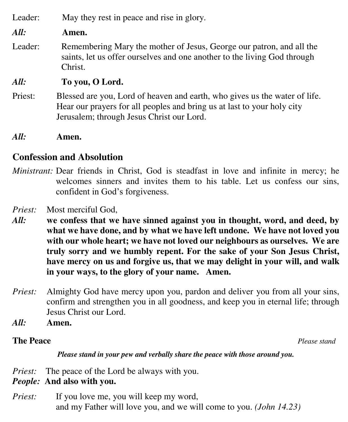Leader: May they rest in peace and rise in glory.

*All:* **Amen.**

Leader: Remembering Mary the mother of Jesus, George our patron, and all the saints, let us offer ourselves and one another to the living God through Christ.

#### *All:* **To you, O Lord.**

Priest: Blessed are you, Lord of heaven and earth, who gives us the water of life. Hear our prayers for all peoples and bring us at last to your holy city Jerusalem; through Jesus Christ our Lord.

*All:* **Amen.** 

#### **Confession and Absolution**

- *Ministrant:* Dear friends in Christ, God is steadfast in love and infinite in mercy; he welcomes sinners and invites them to his table. Let us confess our sins, confident in God's forgiveness.
- *Priest:* Most merciful God,
- *All:* **we confess that we have sinned against you in thought, word, and deed, by what we have done, and by what we have left undone. We have not loved you with our whole heart; we have not loved our neighbours as ourselves. We are truly sorry and we humbly repent. For the sake of your Son Jesus Christ, have mercy on us and forgive us, that we may delight in your will, and walk in your ways, to the glory of your name. Amen.**
- *Priest:* Almighty God have mercy upon you, pardon and deliver you from all your sins, confirm and strengthen you in all goodness, and keep you in eternal life; through Jesus Christ our Lord.
- *All:* **Amen.**

#### **The Peace** *Please stand*

#### *Please stand in your pew and verbally share the peace with those around you.*

- *Priest:* The peace of the Lord be always with you.
- *People:* **And also with you.**
- *Priest:* If you love me, you will keep my word, and my Father will love you, and we will come to you. *(John 14.23)*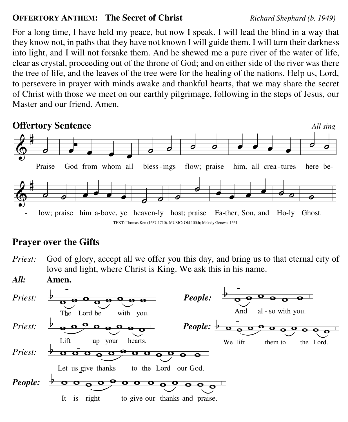#### **OFFERTORY ANTHEM: The Secret of Christ** *Richard Shephard (b. 1949)*

For a long time, I have held my peace, but now I speak. I will lead the blind in a way that they know not, in paths that they have not known I will guide them. I will turn their darkness into light, and I will not forsake them. And he shewed me a pure river of the water of life, clear as crystal, proceeding out of the throne of God; and on either side of the river was there the tree of life, and the leaves of the tree were for the healing of the nations. Help us, Lord, to persevere in prayer with minds awake and thankful hearts, that we may share the secret of Christ with those we meet on our earthly pilgrimage, following in the steps of Jesus, our Master and our friend. Amen.





#### **Prayer over the Gifts**

*Priest:* God of glory, accept all we offer you this day, and bring us to that eternal city of love and light, where Christ is King. We ask this in his name.

*All:* **Amen.**

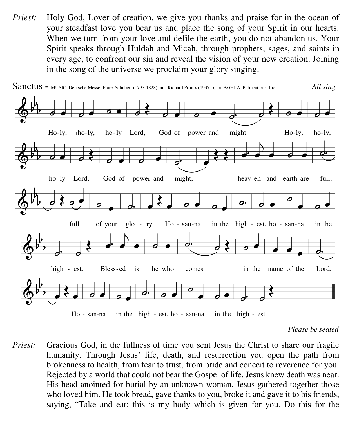*Priest:* Holy God, Lover of creation, we give you thanks and praise for in the ocean of your steadfast love you bear us and place the song of your Spirit in our hearts. When we turn from your love and defile the earth, you do not abandon us. Your Spirit speaks through Huldah and Micah, through prophets, sages, and saints in every age, to confront our sin and reveal the vision of your new creation. Joining in the song of the universe we proclaim your glory singing.



 *Please be seated* 

*Priest:* Gracious God, in the fullness of time you sent Jesus the Christ to share our fragile humanity. Through Jesus' life, death, and resurrection you open the path from brokenness to health, from fear to trust, from pride and conceit to reverence for you. Rejected by a world that could not bear the Gospel of life, Jesus knew death was near. His head anointed for burial by an unknown woman, Jesus gathered together those who loved him. He took bread, gave thanks to you, broke it and gave it to his friends, saying, "Take and eat: this is my body which is given for you. Do this for the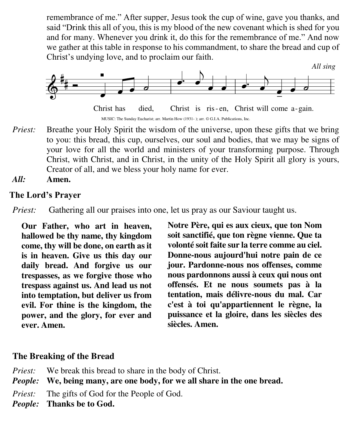remembrance of me." After supper, Jesus took the cup of wine, gave you thanks, and said "Drink this all of you, this is my blood of the new covenant which is shed for you and for many. Whenever you drink it, do this for the remembrance of me." And now we gather at this table in response to his commandment, to share the bread and cup of Christ's undying love, and to proclaim our faith.



MUSIC: The Sunday Eucharist; arr. Martin How (1931- ); arr. © G.I.A. Publications, Inc.

- *Priest:* Breathe your Holy Spirit the wisdom of the universe, upon these gifts that we bring to you: this bread, this cup, ourselves, our soul and bodies, that we may be signs of your love for all the world and ministers of your transforming purpose. Through Christ, with Christ, and in Christ, in the unity of the Holy Spirit all glory is yours, Creator of all, and we bless your holy name for ever.
- *All:* **Amen.**

#### **The Lord's Prayer**

*Priest:* Gathering all our praises into one, let us pray as our Saviour taught us.

**Our Father, who art in heaven, hallowed be thy name, thy kingdom come, thy will be done, on earth as it is in heaven. Give us this day our daily bread. And forgive us our trespasses, as we forgive those who trespass against us. And lead us not into temptation, but deliver us from evil. For thine is the kingdom, the power, and the glory, for ever and ever. Amen.**

**Notre Père, qui es aux cieux, que ton Nom soit sanctifié, que ton règne vienne. Que ta volonté soit faite sur la terre comme au ciel. Donne-nous aujourd'hui notre pain de ce jour. Pardonne-nous nos offenses, comme nous pardonnons aussi à ceux qui nous ont offensés. Et ne nous soumets pas à la tentation, mais délivre-nous du mal. Car c'est à toi qu'appartiennent le règne, la puissance et la gloire, dans les siècles des siècles. Amen.** 

#### **The Breaking of the Bread**

- *Priest:* We break this bread to share in the body of Christ.
- *People:* **We, being many, are one body, for we all share in the one bread.**
- *Priest:* The gifts of God for the People of God.
- *People:* **Thanks be to God.**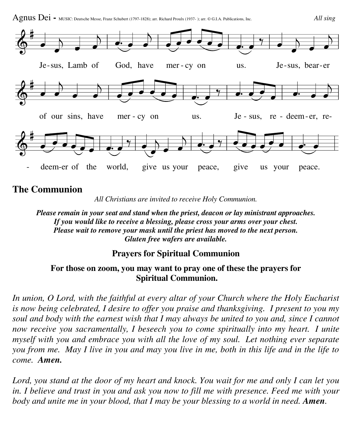

#### **The Communion**

*All Christians are invited to receive Holy Communion.* 

*Please remain in your seat and stand when the priest, deacon or lay ministrant approaches. If you would like to receive a blessing, please cross your arms over your chest. Please wait to remove your mask until the priest has moved to the next person. Gluten free wafers are available.*

#### **Prayers for Spiritual Communion**

#### **For those on zoom, you may want to pray one of these the prayers for Spiritual Communion.**

*In union, O Lord, with the faithful at every altar of your Church where the Holy Eucharist is now being celebrated, I desire to offer you praise and thanksgiving. I present to you my soul and body with the earnest wish that I may always be united to you and, since I cannot now receive you sacramentally, I beseech you to come spiritually into my heart. I unite myself with you and embrace you with all the love of my soul. Let nothing ever separate you from me. May I live in you and may you live in me, both in this life and in the life to come. Amen.* 

*Lord, you stand at the door of my heart and knock. You wait for me and only I can let you in. I believe and trust in you and ask you now to fill me with presence. Feed me with your body and unite me in your blood, that I may be your blessing to a world in need. Amen.*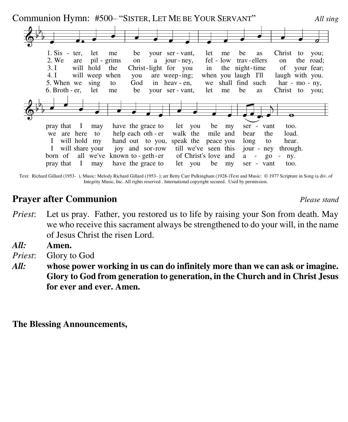Communion Hymn: #500– "SISTER, LET ME BE YOUR SERVANT" *All sing* 



Text: Richard Gillard (1953- ), Music: Melody Richard Gillard (1953- ); arr Betty Carr Pulkingham (1928-)Text and Music: © 1977 Scripture in Song (a div. of Integrity Music, Inc. All rights reserved . International copyright secured. Used by permission.

#### **Prayer after Communion** *Please stand*

*Priest*: Let us pray. Father, you restored us to life by raising your Son from death. May we who receive this sacrament always be strengthened to do your will, in the name of Jesus Christ the risen Lord.

*All:* **Amen.**

*Priest*: Glory to God

*All:* **whose power working in us can do infinitely more than we can ask or imagine. Glory to God from generation to generation, in the Church and in Christ Jesus for ever and ever. Amen.**

#### **The Blessing Announcements,**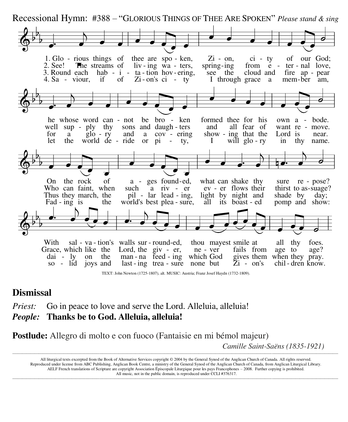4. Sa - viour, if of Zi-on's ci - ty I through grace a mem-ber am, 2. See! The streams of  $\overline{v}$  iv ing wa - ters, spring-ing from  $\overline{e}$  - ter - nal love, 3. Round each hab - i - ta - tion hov - ering, see the cloud and fire ap - pear 2. See! The streams of  $\overline{div}$ -ing- wa - ters, spring-ing from e - ter- nal-love, 1. Glo - rious things of thee are spo - ken,  $Zi$  - on, ci - ty of our God;  $\breve \Phi$  $\frac{1}{2}$ )<br>b  $\frac{1}{2}$  $\overline{\cdot}$   $\overline{\cdot}$  $\overline{)}$  $\overline{\phantom{a}}$  $\overline{\phantom{a}}$  $\frac{1}{\cdot}$  $\overrightarrow{a}$  $\overline{\phantom{a}}$  $\overline{\bullet}$ let the world de ride or pi - ty, I will glo - ry in thy name. for  $\hat{a}$  glo - ry and a cov - ering show - ing- that the Lord is near. well sup - ply thy sons and daugh ters and all fear of want re - move. he whose word can - not be bro - ken- formed thee for his own a - bode.  $\breve \Phi$  $\frac{1}{2}$  $\frac{1}{2}$  $\frac{1}{2}$  $\overline{\phantom{a}}$  $\overline{b}$  $\overline{\cdot}$  $\overrightarrow{ }$  $\frac{1}{\cdot}$  $\overrightarrow{a}$  $\blacksquare$  $\overline{\bullet}$ the world's best plea - sure, all its boast - ed pomp and show: Thus they march, the pil - lar- lead - ing, light by night and shade by day; On the rock of a - ges found-ed, what can shake thy sure re - pose?<br>Who can faint, when such a riv - er ev - er flows their thirst to as-suage? On the rock of a - ges found-ed, what can shake thy sure  $\breve \Phi$  $\frac{1}{2}$  $\frac{1}{2}$  $\frac{1}{2}$  $\overline{\phantom{a}}$  $\blacksquare$  $\overline{\phantom{a}}$  $\overrightarrow{ }$  $\blacksquare$  $\overline{\phantom{0}}$  $\overrightarrow{a}$  $\overline{a}$  $\overline{1}$ .  $\overline{\mathcal{L}}$  $\frac{1}{\mathbf{e}}$ so - lid joys and last ing trea sure none but  $\overline{Z}$  i - on's chil dren know. dai - ly on the man-na feed ing which God gives them when they pray. Grace, which like the Lord, the giv - er, ne - ver fails from age to age? With sal - va- tion's walls sur - round-ed, thou may est smile at all thy foes.  $\breve \Phi$  $\frac{1}{2}$  $\frac{1}{2}$  $\frac{1}{2}$  $\begin{array}{c} \begin{array}{c} \text{ } \\ \text{ } \\ \text{ } \\ \text{ } \\ \end{array} \end{array}$  $\text{Fad}$  - ing is  $\overline{\cdot}$  $\bigoplus$  $\overline{\cdots}$  $\frac{1}{\bullet}$  $\frac{1}{2}$  $\frac{1}{\sqrt{2}}$ Recessional Hymn: #388 – "GLORIOUS THINGS OF THEE ARE SPOKEN" *Please stand & sing* 

TEXT: John Newton (1725-1807), alt. MUSIC: Austria; Franz Josef Haydn (1732-1809).

#### **Dismissal**

*Priest:* Go in peace to love and serve the Lord. Alleluia, alleluia! *People:* **Thanks be to God. Alleluia, alleluia!** 

**Postlude:** Allegro di molto e con fuoco (Fantaisie en mi bémol majeur)

*Camille Saint-Saëns (1835-1921)* 

All liturgical texts excerpted from the Book of Alternative Services copyright © 2004 by the General Synod of the Anglican Church of Canada. All rights reserved. Reproduced under license from ABC Publishing, Anglican Book Centre, a ministry of the General Synod of the Anglican Church of Canada, from Anglican Liturgical Library. AELF French translations of Scripture are copyright Association Épiscopale Liturgique pour les pays Francophones – 2008. Further copying is prohibited. All music, not in the public domain, is reproduced under CCLI #376317. ,我们也不能会在这里,我们的人们就会不能会在这里,我们也不能会不能会不能会不能会不能会不能会不能会不能会不能会不能会。""我们的人们就会不能会不能会不能会不能会

**\_\_\_\_\_\_\_\_\_\_\_\_\_\_\_\_\_\_\_\_\_\_\_\_\_\_\_\_\_\_\_\_\_\_\_\_\_\_\_\_\_\_\_\_\_\_\_\_\_\_\_\_\_\_\_\_\_\_\_\_\_\_\_\_\_\_\_\_\_\_\_\_\_\_\_\_\_\_\_\_\_\_\_\_\_\_\_\_\_\_\_\_\_\_\_\_\_\_\_\_\_\_\_\_\_\_\_\_\_\_\_\_\_\_\_\_\_\_\_\_\_\_\_\_\_\_\_\_\_\_\_\_\_\_\_\_\_\_\_\_\_\_\_\_\_\_\_\_\_\_\_\_\_\_\_\_\_\_\_\_\_\_\_\_\_\_\_\_\_\_\_\_\_\_\_\_\_\_\_\_\_\_\_\_\_\_\_\_\_\_\_\_\_\_\_\_\_\_\_\_\_\_\_\_\_\_\_\_\_\_\_\_\_\_\_\_\_\_\_\_\_\_\_\_\_\_\_\_\_\_\_\_\_\_\_\_**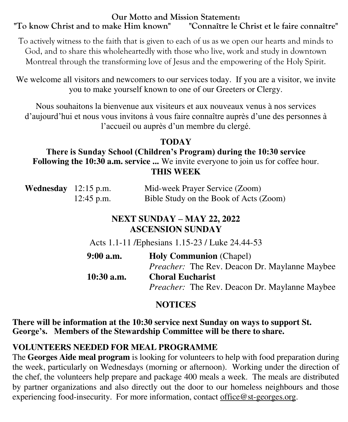#### **Our Motto and Mission Statement:**  "To know Christ and to make Him known"

To actively witness to the faith that is given to each of us as we open our hearts and minds to God, and to share this wholeheartedly with those who live, work and study in downtown Montreal through the transforming love of Jesus and the empowering of the Holy Spirit.

We welcome all visitors and newcomers to our services today. If you are a visitor, we invite you to make yourself known to one of our Greeters or Clergy.

Nous souhaitons la bienvenue aux visiteurs et aux nouveaux venus à nos services d'aujourd'hui et nous vous invitons à vous faire connaître auprès d'une des personnes à l'accueil ou auprès d'un membre du clergé.

#### **TODAY**

**There is Sunday School (Children's Program) during the 10:30 service Following the 10:30 a.m. service ...** We invite everyone to join us for coffee hour. **THIS WEEK** 

| <b>Wednesday</b> $12:15$ p.m. |            | Mid-week Prayer Service (Zoom)         |
|-------------------------------|------------|----------------------------------------|
|                               | 12:45 p.m. | Bible Study on the Book of Acts (Zoom) |

#### **NEXT SUNDAY – MAY 22, 2022 ASCENSION SUNDAY**

Acts 1.1-11 /Ephesians 1.15-23 / Luke 24.44-53

| $9:00$ a.m.  | <b>Holy Communion</b> (Chapel)                       |
|--------------|------------------------------------------------------|
|              | <i>Preacher:</i> The Rev. Deacon Dr. Maylanne Maybee |
| $10:30$ a.m. | <b>Choral Eucharist</b>                              |
|              | <i>Preacher:</i> The Rev. Deacon Dr. Maylanne Maybee |

#### **NOTICES**

**There will be information at the 10:30 service next Sunday on ways to support St. George's. Members of the Stewardship Committee will be there to share.** 

#### **VOLUNTEERS NEEDED FOR MEAL PROGRAMME**

The **Georges Aide meal program** is looking for volunteers to help with food preparation during the week, particularly on Wednesdays (morning or afternoon). Working under the direction of the chef, the volunteers help prepare and package 400 meals a week. The meals are distributed by partner organizations and also directly out the door to our homeless neighbours and those experiencing food-insecurity. For more information, contact [office@st-georges.org.](mailto:office@st-georges.org)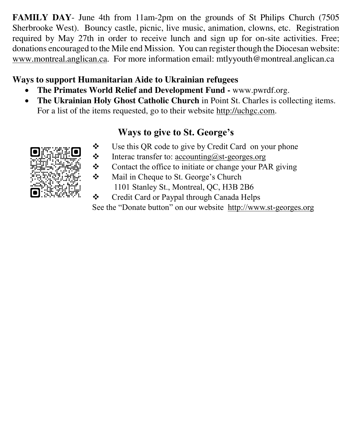**FAMILY DAY-** June 4th from 11am-2pm on the grounds of St Philips Church (7505) Sherbrooke West). Bouncy castle, picnic, live music, animation, clowns, etc. Registration required by May 27th in order to receive lunch and sign up for on-site activities. Free; donations encouraged to the Mile end Mission. You can register though the Diocesan website: [www.montreal.anglican.ca.](http://www.montreal.anglican.ca/) For more information email: mtlyyouth@montreal.anglican.ca

#### **Ways to support Humanitarian Aide to Ukrainian refugees**

- The Primates World Relief and Development Fund www.pwrdf.org.
- **The Ukrainian Holy Ghost Catholic Church** in Point St. Charles is collecting items. For a list of the items requested, go to their website [http://uchgc.com.](http://uchgc.com/)

### **Ways to give to St. George's**

- Use this QR code to give by Credit Card on your phone
- Interac transfer to: [accounting@st-georges.org](mailto:accounting@st-georges.org)
- $\div$  Contact the office to initiate or change your PAR giving
- Mail in Cheque to St. George's Church 1101 Stanley St., Montreal, QC, H3B 2B6
- ❖ Credit Card or Paypal through Canada Helps See the "Donate button" on our website [http://www.st-georges.org](http://www.st-georges.org/)